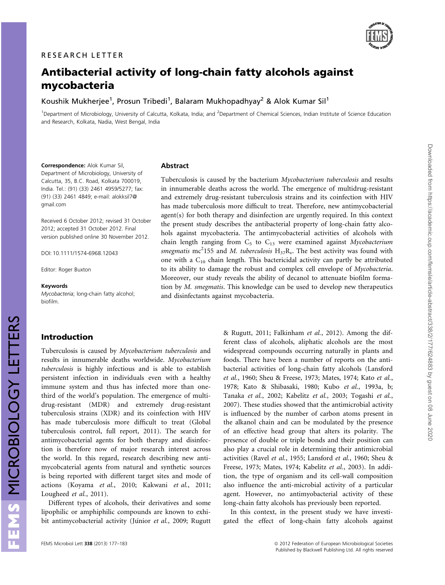

Downloaded from https://academic.oup.com/femsle/article-abstract/338/2/177/624883 by guest on 08 June 2020 Downloaded from https://academic.oup.com/femsle/article-abstract/338/2/177/624883 by guest on 08 June 2020

# Antibacterial activity of long-chain fatty alcohols against mycobacteria

## Koushik Mukherjee<sup>1</sup>, Prosun Tribedi<sup>1</sup>, Balaram Mukhopadhyay<sup>2</sup> & Alok Kumar Sil<sup>1</sup>

<sup>1</sup>Department of Microbiology, University of Calcutta, Kolkata, India; and <sup>2</sup>Department of Chemical Sciences, Indian Institute of Science Education and Research, Kolkata, Nadia, West Bengal, India

Correspondence: Alok Kumar Sil, Department of Microbiology, University of Calcutta, 35, B.C. Road, Kolkata 700019, India. Tel.: (91) (33) 2461 4959/5277; fax: (91) (33) 2461 4849; e-mail: alokksil7@ gmail.com

Received 6 October 2012; revised 31 October 2012; accepted 31 October 2012. Final version published online 30 November 2012.

DOI: 10.1111/1574-6968.12043

Editor: Roger Buxton

#### Keywords

Mycobacteria; long-chain fatty alcohol; biofilm.

#### Abstract

Tuberculosis is caused by the bacterium Mycobacterium tuberculosis and results in innumerable deaths across the world. The emergence of multidrug-resistant and extremely drug-resistant tuberculosis strains and its coinfection with HIV has made tuberculosis more difficult to treat. Therefore, new antimycobacterial agent(s) for both therapy and disinfection are urgently required. In this context the present study describes the antibacterial property of long-chain fatty alcohols against mycobacteria. The antimycobacterial activities of alcohols with chain length ranging from  $C_5$  to  $C_{13}$  were examined against Mycobacterium smegmatis mc<sup>2</sup>155 and M. tuberculosis  $H_{37}R_v$ . The best activity was found with one with a  $C_{10}$  chain length. This bactericidal activity can partly be attributed to its ability to damage the robust and complex cell envelope of Mycobacteria. Moreover, our study reveals the ability of decanol to attenuate biofilm formation by M. smegmatis. This knowledge can be used to develop new therapeutics and disinfectants against mycobacteria.

#### Introduction

Tuberculosis is caused by Mycobacterium tuberculosis and results in innumerable deaths worldwide. Mycobacterium tuberculosis is highly infectious and is able to establish persistent infection in individuals even with a healthy immune system and thus has infected more than onethird of the world's population. The emergence of multidrug-resistant (MDR) and extremely drug-resistant tuberculosis strains (XDR) and its coinfection with HIV has made tuberculosis more difficult to treat (Global tuberculosis control, full report, 2011). The search for antimycobacterial agents for both therapy and disinfection is therefore now of major research interest across the world. In this regard, research describing new antimycobcaterial agents from natural and synthetic sources is being reported with different target sites and mode of actions (Koyama et al., 2010; Kakwani et al., 2011; Lougheed et al., 2011).

Different types of alcohols, their derivatives and some lipophilic or amphiphilic compounds are known to exhibit antimycobacterial activity (Júnior et al., 2009; Rugutt

& Rugutt, 2011; Falkinham et al., 2012). Among the different class of alcohols, aliphatic alcohols are the most widespread compounds occurring naturally in plants and foods. There have been a number of reports on the antibacterial activities of long-chain fatty alcohols (Lansford et al., 1960; Sheu & Freese, 1973; Mates, 1974; Kato et al., 1978; Kato & Shibasaki, 1980; Kubo et al., 1993a, b; Tanaka et al., 2002; Kabelitz et al., 2003; Togashi et al., 2007). These studies showed that the antimicrobial activity is influenced by the number of carbon atoms present in the alkanol chain and can be modulated by the presence of an effective head group that alters its polarity. The presence of double or triple bonds and their position can also play a crucial role in determining their antimicrobial activities (Ravel et al., 1955; Lansford et al., 1960; Sheu & Freese, 1973; Mates, 1974; Kabelitz et al., 2003). In addition, the type of organism and its cell-wall composition also influence the anti-microbial activity of a particular agent. However, no antimyobacterial activity of these long-chain fatty alcohols has previously been reported.

In this context, in the present study we have investigated the effect of long-chain fatty alcohols against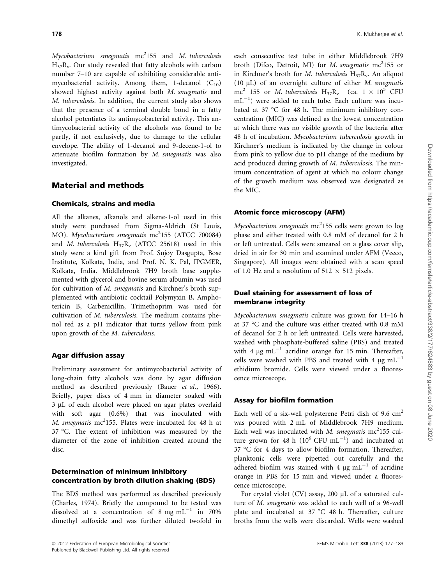Mycobacterium smegmatis  $\mathrm{mc}^2$ 155 and M. tuberculosis  $H_{37}R_v$ . Our study revealed that fatty alcohols with carbon number 7–10 are capable of exhibiting considerable antimycobacterial activity. Among them, 1-decanol  $(C_{10})$ showed highest activity against both M. smegmatis and M. tuberculosis. In addition, the current study also shows that the presence of a terminal double bond in a fatty alcohol potentiates its antimycobacterial activity. This antimycobacterial activity of the alcohols was found to be partly, if not exclusively, due to damage to the cellular envelope. The ability of 1-decanol and 9-decene-1-ol to attenuate biofilm formation by M. smegmatis was also investigated.

### Material and methods

#### Chemicals, strains and media

All the alkanes, alkanols and alkene-1-ol used in this study were purchased from Sigma-Aldrich (St Louis, MO). Mycobacterium smegmatis mc<sup>2</sup>155 (ATCC 700084) and M. tuberculosis  $H_{37}R_v$  (ATCC 25618) used in this study were a kind gift from Prof. Sujoy Dasgupta, Bose Institute, Kolkata, India, and Prof. N. K. Pal, IPGMER, Kolkata, India. Middlebrook 7H9 broth base supplemented with glycerol and bovine serum albumin was used for cultivation of M. smegmatis and Kirchner's broth supplemented with antibiotic cocktail Polymyxin B, Amphotericin B, Carbenicillin, Trimethoprim was used for cultivation of M. tuberculosis. The medium contains phenol red as a pH indicator that turns yellow from pink upon growth of the M. tuberculosis.

#### Agar diffusion assay

Preliminary assessment for antimycobacterial activity of long-chain fatty alcohols was done by agar diffusion method as described previously (Bauer et al., 1966). Briefly, paper discs of 4 mm in diameter soaked with 3 µL of each alcohol were placed on agar plates overlaid with soft agar (0.6%) that was inoculated with M. smegmatis mc<sup>2</sup>155. Plates were incubated for 48 h at 37 °C. The extent of inhibition was measured by the diameter of the zone of inhibition created around the disc.

#### Determination of minimum inhibitory concentration by broth dilution shaking (BDS)

The BDS method was performed as described previously (Charles, 1974). Briefly the compound to be tested was dissolved at a concentration of 8 mg  $mL^{-1}$  in 70% dimethyl sulfoxide and was further diluted twofold in

each consecutive test tube in either Middlebrook 7H9 broth (Difco, Detroit, MI) for M. smegmatis mc<sup>2</sup>155 or in Kirchner's broth for M. tuberculosis  $H_{37}R_v$ . An aliquot (10  $\mu$ L) of an overnight culture of either M. smegmatis mc<sup>2</sup> 155 or *M. tuberculosis*  $H_{37}R_v$  (ca. 1  $\times$  10<sup>5</sup> CFU  $mL^{-1}$ ) were added to each tube. Each culture was incubated at 37 °C for 48 h. The minimum inhibitory concentration (MIC) was defined as the lowest concentration at which there was no visible growth of the bacteria after 48 h of incubation. Mycobacterium tuberculosis growth in Kirchner's medium is indicated by the change in colour from pink to yellow due to pH change of the medium by acid produced during growth of *M. tuberculosis*. The minimum concentration of agent at which no colour change of the growth medium was observed was designated as the MIC.

#### Atomic force microscopy (AFM)

Mycobacterium smegmatis  $mc^2$ 155 cells were grown to log phase and either treated with 0.8 mM of decanol for 2 h or left untreated. Cells were smeared on a glass cover slip, dried in air for 30 min and examined under AFM (Veeco, Singapore). All images were obtained with a scan speed of 1.0 Hz and a resolution of  $512 \times 512$  pixels.

#### Dual staining for assessment of loss of membrane integrity

Mycobacterium smegmatis culture was grown for 14–16 h at 37 °C and the culture was either treated with 0.8 mM of decanol for 2 h or left untreated. Cells were harvested, washed with phosphate-buffered saline (PBS) and treated with 4  $\mu$ g mL<sup>-1</sup> acridine orange for 15 min. Thereafter, cells were washed with PBS and treated with 4  $\mu$ g mL<sup>-1</sup> ethidium bromide. Cells were viewed under a fluorescence microscope.

#### Assay for biofilm formation

Each well of a six-well polysterene Petri dish of 9.6  $cm<sup>2</sup>$ was poured with 2 mL of Middlebrook 7H9 medium. Each well was inoculated with M. smegmatis  $mc^2$ 155 culture grown for 48 h  $(10^6$  CFU mL<sup>-1</sup>) and incubated at 37 °C for 4 days to allow biofilm formation. Thereafter, planktonic cells were pipetted out carefully and the adhered biofilm was stained with 4  $\mu$ g mL<sup>-1</sup> of acridine orange in PBS for 15 min and viewed under a fluorescence microscope.

For crystal violet  $(CV)$  assay, 200  $\mu$ L of a saturated culture of M. smegmatis was added to each well of a 96-well plate and incubated at 37 °C 48 h. Thereafter, culture broths from the wells were discarded. Wells were washed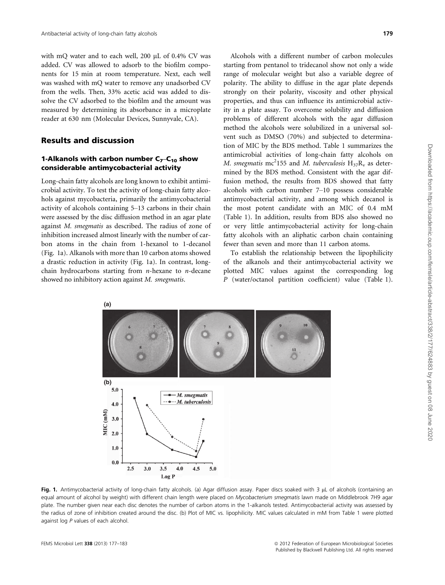with mQ water and to each well, 200 µL of 0.4% CV was added. CV was allowed to adsorb to the biofilm components for 15 min at room temperature. Next, each well was washed with mQ water to remove any unadsorbed CV from the wells. Then, 33% acetic acid was added to dissolve the CV adsorbed to the biofilm and the amount was measured by determining its absorbance in a microplate reader at 630 nm (Molecular Devices, Sunnyvale, CA).

#### Results and discussion

#### 1-Alkanols with carbon number  $C_7-C_{10}$  show considerable antimycobacterial activity

Long-chain fatty alcohols are long known to exhibit antimicrobial activity. To test the activity of long-chain fatty alcohols against mycobacteria, primarily the antimycobacterial activity of alcohols containing 5–13 carbons in their chain were assessed by the disc diffusion method in an agar plate against M. smegmatis as described. The radius of zone of inhibition increased almost linearly with the number of carbon atoms in the chain from 1-hexanol to 1-decanol (Fig. 1a). Alkanols with more than 10 carbon atoms showed a drastic reduction in activity (Fig. 1a). In contrast, longchain hydrocarbons starting from  $n$ -hexane to  $n$ -decane showed no inhibitory action against M. smegmatis.

Downloaded from https://academic.oup.com/femsle/article-abstract/338/2/177/624883 by guest on 08 June 2020 Downloaded from https://academic.oup.com/femsle/article-abstract/338/2/177/624883 by guest on 08 June 2020

Alcohols with a different number of carbon molecules starting from pentanol to tridecanol show not only a wide range of molecular weight but also a variable degree of polarity. The ability to diffuse in the agar plate depends strongly on their polarity, viscosity and other physical properties, and thus can influence its antimicrobial activity in a plate assay. To overcome solubility and diffusion problems of different alcohols with the agar diffusion method the alcohols were solubilized in a universal solvent such as DMSO (70%) and subjected to determination of MIC by the BDS method. Table 1 summarizes the antimicrobial activities of long-chain fatty alcohols on M. smegmatis  $mc^2$ 155 and M. tuberculosis  $H_{37}R_v$  as determined by the BDS method. Consistent with the agar diffusion method, the results from BDS showed that fatty alcohols with carbon number 7–10 possess considerable antimycobacterial activity, and among which decanol is the most potent candidate with an MIC of 0.4 mM (Table 1). In addition, results from BDS also showed no or very little antimycobacterial activity for long-chain fatty alcohols with an aliphatic carbon chain containing fewer than seven and more than 11 carbon atoms.

To establish the relationship between the lipophilicity of the alkanols and their antimycobacterial activity we plotted MIC values against the corresponding log P (water/octanol partition coefficient) value (Table 1).



Fig. 1. Antimycobacterial activity of long-chain fatty alcohols. (a) Agar diffusion assay. Paper discs soaked with 3 µL of alcohols (containing an equal amount of alcohol by weight) with different chain length were placed on Mycobacterium smegmatis lawn made on Middlebrook 7H9 agar plate. The number given near each disc denotes the number of carbon atoms in the 1-alkanols tested. Antimycobacterial activity was assessed by the radius of zone of inhibition created around the disc. (b) Plot of MIC vs. lipophilicity. MIC values calculated in mM from Table 1 were plotted against log P values of each alcohol.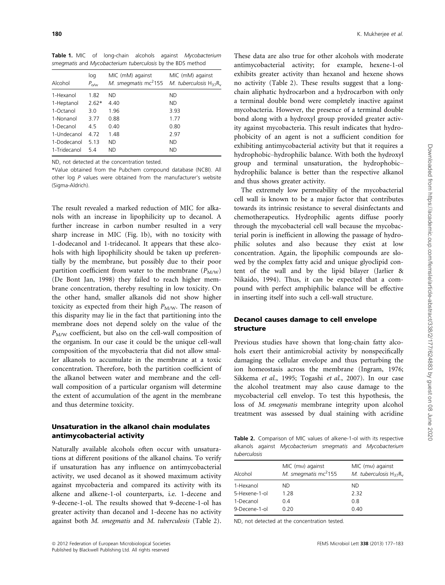Table 1. MIC of long-chain alcohols against Mycobacterium smegmatis and Mycobacterium tuberculosis by the BDS method

| Alcohol      | log<br>$P_{\rm o/w}$ | MIC (mM) against<br>M. smegmatis mc <sup>2</sup> 155 M. tuberculosis H <sub>37</sub> R <sub>v</sub> | MIC (mM) against |
|--------------|----------------------|-----------------------------------------------------------------------------------------------------|------------------|
| 1-Hexanol    | 1.82                 | ND.                                                                                                 | <b>ND</b>        |
| 1-Heptanol   | $2.62*$              | 4.40                                                                                                | ND.              |
| 1-Octanol    | 3.0                  | 1.96                                                                                                | 3.93             |
| 1-Nonanol    | 3.77                 | 0.88                                                                                                | 1.77             |
| 1-Decanol    | 4.5                  | 0.40                                                                                                | 0.80             |
| 1-Undecanol  | 4.72                 | 1.48                                                                                                | 2.97             |
| 1-Dodecanol  | 5.13                 | ND.                                                                                                 | ND.              |
| 1-Tridecanol | 54                   | ND.                                                                                                 | <b>ND</b>        |
|              |                      |                                                                                                     |                  |

ND, not detected at the concentration tested.

\*Value obtained from the Pubchem compound database (NCBI). All other log P values were obtained from the manufacturer's website (Sigma-Aldrich).

The result revealed a marked reduction of MIC for alkanols with an increase in lipophilicity up to decanol. A further increase in carbon number resulted in a very sharp increase in MIC (Fig. 1b), with no toxicity with 1-dodecanol and 1-tridecanol. It appears that these alcohols with high lipophilicity should be taken up preferentially by the membrane, but possibly due to their poor partition coefficient from water to the membrane  $(P_{M/W})$ (De Bont Jan, 1998) they failed to reach higher membrane concentration, thereby resulting in low toxicity. On the other hand, smaller alkanols did not show higher toxicity as expected from their high  $P_{\text{M/W}}$ . The reason of this disparity may lie in the fact that partitioning into the membrane does not depend solely on the value of the  $P_{M/W}$  coefficient, but also on the cell-wall composition of the organism. In our case it could be the unique cell-wall composition of the mycobacteria that did not allow smaller alkanols to accumulate in the membrane at a toxic concentration. Therefore, both the partition coefficient of the alkanol between water and membrane and the cellwall composition of a particular organism will determine the extent of accumulation of the agent in the membrane and thus determine toxicity.

#### Unsaturation in the alkanol chain modulates antimycobacterial activity

Naturally available alcohols often occur with unsaturations at different positions of the alkanol chains. To verify if unsaturation has any influence on antimycobacterial activity, we used decanol as it showed maximum activity against mycobacteria and compared its activity with its alkene and alkene-1-ol counterparts, i.e. 1-decene and 9-decene-1-ol. The results showed that 9-decene-1-ol has greater activity than decanol and 1-decene has no activity against both M. smegmatis and M. tuberculosis (Table 2). These data are also true for other alcohols with moderate antimycobacterial activity; for example, hexene-1-ol exhibits greater activity than hexanol and hexene shows no activity (Table 2). These results suggest that a longchain aliphatic hydrocarbon and a hydrocarbon with only a terminal double bond were completely inactive against mycobacteria. However, the presence of a terminal double bond along with a hydroxyl group provided greater activity against mycobacteria. This result indicates that hydrophobicity of an agent is not a sufficient condition for exhibiting antimycobacterial activity but that it requires a hydrophobic–hydrophilic balance. With both the hydroxyl group and terminal unsaturation, the hydrophobic– hydrophilic balance is better than the respective alkanol and thus shows greater activity.

The extremely low permeability of the mycobacterial cell wall is known to be a major factor that contributes towards its intrinsic resistance to several disinfectants and chemotherapeutics. Hydrophilic agents diffuse poorly through the mycobacterial cell wall because the mycobacterial porin is inefficient in allowing the passage of hydrophilic solutes and also because they exist at low concentration. Again, the lipophilic compounds are slowed by the complex fatty acid and unique glyoclipid content of the wall and by the lipid bilayer (Jarlier & Nikaido, 1994). Thus, it can be expected that a compound with perfect amphiphilic balance will be effective in inserting itself into such a cell-wall structure.

#### Decanol causes damage to cell envelope structure

Previous studies have shown that long-chain fatty alcohols exert their antimicrobial activity by nonspecifically damaging the cellular envelope and thus perturbing the ion homeostasis across the membrane (Ingram, 1976; Sikkema et al., 1995; Togashi et al., 2007). In our case the alcohol treatment may also cause damage to the mycobacterial cell envelop. To test this hypothesis, the loss of M. smegmatis membrane integrity upon alcohol treatment was assessed by dual staining with acridine

Table 2. Comparison of MIC values of alkene-1-ol with its respective alkanols against Mycobacterium smegmatis and Mycobacterium tuberculosis

| Alcohol       | MIC (mm) against<br>M. smegmatis mc <sup>2</sup> 155 | MIC (m <sub>M</sub> ) against<br>M. tuberculosis $H_{37}R_{v}$ |
|---------------|------------------------------------------------------|----------------------------------------------------------------|
| 1-Hexanol     | ND                                                   | ND.                                                            |
| 5-Hexene-1-ol | 1.28                                                 | 2.32                                                           |
| 1-Decanol     | 0.4                                                  | 0.8                                                            |
| 9-Decene-1-ol | 0.20                                                 | 0.40                                                           |

ND, not detected at the concentration tested.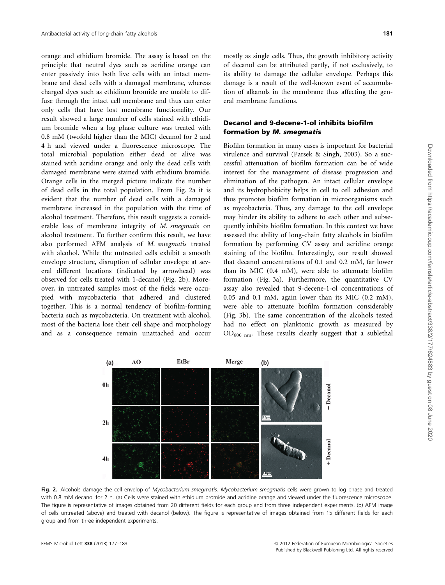orange and ethidium bromide. The assay is based on the principle that neutral dyes such as acridine orange can enter passively into both live cells with an intact membrane and dead cells with a damaged membrane, whereas charged dyes such as ethidium bromide are unable to diffuse through the intact cell membrane and thus can enter only cells that have lost membrane functionality. Our result showed a large number of cells stained with ethidium bromide when a log phase culture was treated with 0.8 mM (twofold higher than the MIC) decanol for 2 and 4 h and viewed under a fluorescence microscope. The total microbial population either dead or alive was stained with acridine orange and only the dead cells with damaged membrane were stained with ethidium bromide. Orange cells in the merged picture indicate the number of dead cells in the total population. From Fig. 2a it is evident that the number of dead cells with a damaged membrane increased in the population with the time of alcohol treatment. Therefore, this result suggests a considerable loss of membrane integrity of M. smegmatis on alcohol treatment. To further confirm this result, we have also performed AFM analysis of M. smegmatis treated with alcohol. While the untreated cells exhibit a smooth envelope structure, disruption of cellular envelope at several different locations (indicated by arrowhead) was observed for cells treated with 1-decanol (Fig. 2b). Moreover, in untreated samples most of the fields were occupied with mycobacteria that adhered and clustered together. This is a normal tendency of biofilm-forming bacteria such as mycobacteria. On treatment with alcohol, most of the bacteria lose their cell shape and morphology and as a consequence remain unattached and occur

mostly as single cells. Thus, the growth inhibitory activity of decanol can be attributed partly, if not exclusively, to its ability to damage the cellular envelope. Perhaps this damage is a result of the well-known event of accumulation of alkanols in the membrane thus affecting the general membrane functions.

#### Decanol and 9-decene-1-ol inhibits biofilm formation by M. smegmatis

Biofilm formation in many cases is important for bacterial virulence and survival (Parsek & Singh, 2003). So a successful attenuation of biofilm formation can be of wide interest for the management of disease progression and elimination of the pathogen. An intact cellular envelope and its hydrophobicity helps in cell to cell adhesion and thus promotes biofilm formation in microorganisms such as mycobacteria. Thus, any damage to the cell envelope may hinder its ability to adhere to each other and subsequently inhibits biofilm formation. In this context we have assessed the ability of long-chain fatty alcohols in biofilm formation by performing CV assay and acridine orange staining of the biofilm. Interestingly, our result showed that decanol concentrations of 0.1 and 0.2 mM, far lower than its MIC (0.4 mM), were able to attenuate biofilm formation (Fig. 3a). Furthermore, the quantitative CV assay also revealed that 9-decene-1-ol concentrations of 0.05 and 0.1 mM, again lower than its MIC (0.2 mM), were able to attenuate biofilm formation considerably (Fig. 3b). The same concentration of the alcohols tested had no effect on planktonic growth as measured by OD600 nm. These results clearly suggest that a sublethal



Fig. 2. Alcohols damage the cell envelop of Mycobacterium smegmatis. Mycobacterium smegmatis cells were grown to log phase and treated with 0.8 mM decanol for 2 h. (a) Cells were stained with ethidium bromide and acridine orange and viewed under the fluorescence microscope. The figure is representative of images obtained from 20 different fields for each group and from three independent experiments. (b) AFM image of cells untreated (above) and treated with decanol (below). The figure is representative of images obtained from 15 different fields for each group and from three independent experiments.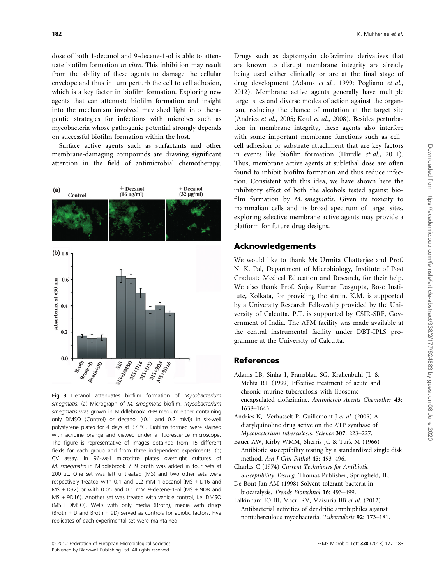dose of both 1-decanol and 9-decene-1-ol is able to attenuate biofilm formation in vitro. This inhibition may result from the ability of these agents to damage the cellular envelope and thus in turn perturb the cell to cell adhesion, which is a key factor in biofilm formation. Exploring new agents that can attenuate biofilm formation and insight into the mechanism involved may shed light into therapeutic strategies for infections with microbes such as mycobacteria whose pathogenic potential strongly depends on successful biofilm formation within the host.

Surface active agents such as surfactants and other membrane-damaging compounds are drawing significant attention in the field of antimicrobial chemotherapy.



Fig. 3. Decanol attenuates biofilm formation of Mycobacterium smegmatis. (a) Micrograph of M. smegmatis biofilm. Mycobacterium smegmatis was grown in Middlebrook 7H9 medium either containing only DMSO (Control) or decanol ((0.1 and 0.2 mM)) in six-well polystyrene plates for 4 days at 37 °C. Biofilms formed were stained with acridine orange and viewed under a fluorescence microscope. The figure is representative of images obtained from 15 different fields for each group and from three independent experiments. (b) CV assay. In 96-well microtitre plates overnight cultures of M. smegmatis in Middlebrook 7H9 broth was added in four sets at 200 µL. One set was left untreated (MS) and two other sets were respectively treated with 0.1 and 0.2 mM 1-decanol (MS + D16 and  $MS + D32$ ) or with 0.05 and 0.1 mM 9-decene-1-ol (MS + 9D8 and MS + 9D16). Another set was treated with vehicle control, i.e. DMSO (MS + DMSO). Wells with only media (Broth), media with drugs (Broth  $+$  D and Broth  $+$  9D) served as controls for abiotic factors. Five replicates of each experimental set were maintained.

Drugs such as daptomycin clofazimine derivatives that are known to disrupt membrane integrity are already being used either clinically or are at the final stage of drug development (Adams et al., 1999; Pogliano et al., 2012). Membrane active agents generally have multiple target sites and diverse modes of action against the organism, reducing the chance of mutation at the target site (Andries et al., 2005; Koul et al., 2008). Besides perturbation in membrane integrity, these agents also interfere with some important membrane functions such as cell– cell adhesion or substrate attachment that are key factors in events like biofilm formation (Hurdle et al., 2011). Thus, membrane active agents at sublethal dose are often found to inhibit biofilm formation and thus reduce infection. Consistent with this idea, we have shown here the inhibitory effect of both the alcohols tested against biofilm formation by M. smegmatis. Given its toxicity to mammalian cells and its broad spectrum of target sites, exploring selective membrane active agents may provide a platform for future drug designs.

#### Acknowledgements

We would like to thank Ms Urmita Chatterjee and Prof. N. K. Pal, Department of Microbiology, Institute of Post Graduate Medical Education and Research, for their help. We also thank Prof. Sujay Kumar Dasgupta, Bose Institute, Kolkata, for providing the strain. K.M. is supported by a University Research Fellowship provided by the University of Calcutta. P.T. is supported by CSIR-SRF, Government of India. The AFM facility was made available at the central instrumental facility under DBT-IPLS programme at the University of Calcutta.

#### References

- Adams LB, Sinha I, Franzblau SG, Krahenbuhl JL & Mehta RT (1999) Effective treatment of acute and chronic murine tuberculosis with liposomeencapsulated clofazimine. Antimicrob Agents Chemother 43: 1638–1643.
- Andries K, Verhasselt P, Guillemont J et al. (2005) A diarylquinoline drug active on the ATP synthase of Mycobacterium tuberculosis. Science 307: 223–227.
- Bauer AW, Kirby WMM, Sherris JC & Turk M (1966) Antibiotic susceptibility testing by a standardized single disk method. Am J Clin Pathol 45: 493–496.
- Charles C (1974) Current Techniques for Antibiotic Susceptibility Testing. Thomas Publisher, Springfield, IL.
- De Bont Jan AM (1998) Solvent-tolerant bacteria in biocatalysis. Trends Biotechnol 16: 493–499.
- Falkinham JO III, Macri RV, Maisuria BB et al. (2012) Antibacterial activities of dendritic amphiphiles against nontuberculous mycobacteria. Tuberculosis 92: 173–181.